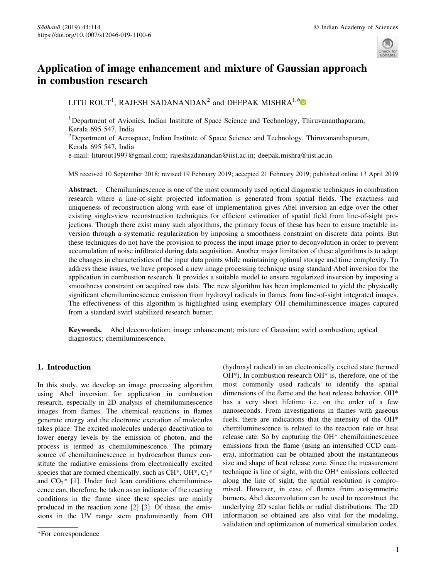

# Application of image enhancement and mixture of Gaussian approach in combustion research

LITU ROUT<sup>1</sup>, RAJESH SADANANDAN<sup>2</sup> and DEEPAK MISHRA<sup>1,[\\*](http://orcid.org/0000-0001-6532-942X)</sup>

<sup>1</sup>Department of Avionics, Indian Institute of Space Science and Technology, Thiruvananthapuram, Kerala 695 547, India

<sup>2</sup>Department of Aerospace, Indian Institute of Space Science and Technology, Thiruvananthapuram, Kerala 695 547, India

e-mail: liturout1997@gmail.com; rajeshsadanandan@iist.ac.in; deepak.mishra@iist.ac.in

MS received 10 September 2018; revised 19 February 2019; accepted 21 February 2019; published online 13 April 2019

Abstract. Chemiluminescence is one of the most commonly used optical diagnostic techniques in combustion research where a line-of-sight projected information is generated from spatial fields. The exactness and uniqueness of reconstruction along with ease of implementation gives Abel inversion an edge over the other existing single-view reconstruction techniques for efficient estimation of spatial field from line-of-sight projections. Though there exist many such algorithms, the primary focus of these has been to ensure tractable inversion through a systematic regularization by imposing a smoothness constraint on discrete data points. But these techniques do not have the provision to process the input image prior to deconvolution in order to prevent accumulation of noise infiltrated during data acquisition. Another major limitation of these algorithms is to adopt the changes in characteristics of the input data points while maintaining optimal storage and time complexity. To address these issues, we have proposed a new image processing technique using standard Abel inversion for the application in combustion research. It provides a suitable model to ensure regularized inversion by imposing a smoothness constraint on acquired raw data. The new algorithm has been implemented to yield the physically significant chemiluminescence emission from hydroxyl radicals in flames from line-of-sight integrated images. The effectiveness of this algorithm is highlighted using exemplary OH chemiluminescence images captured from a standard swirl stabilized research burner.

Keywords. Abel deconvolution; image enhancement; mixture of Gaussian; swirl combustion; optical diagnostics; chemiluminescence.

# 1. Introduction

In this study, we develop an image processing algorithm using Abel inversion for application in combustion research, especially in 2D analysis of chemiluminescence images from flames. The chemical reactions in flames generate energy and the electronic excitation of molecules takes place. The excited molecules undergo deactivation to lower energy levels by the emission of photon, and the process is termed as chemiluminescence. The primary source of chemiluminescence in hydrocarbon flames constitute the radiative emissions from electronically excited species that are formed chemically, such as  $CH^*$ ,  $OH^*$ ,  $C_2^*$ and  $CO<sub>2</sub>*$  [\[1](#page-11-0)]. Under fuel lean conditions chemiluminescence can, therefore, be taken as an indicator of the reacting conditions in the flame since these species are mainly produced in the reaction zone  $\lceil 2 \rceil$   $\lceil 3 \rceil$ . Of these, the emissions in the UV range stem predominantly from OH

(hydroxyl radical) in an electronically excited state (termed OH\*). In combustion research OH\* is, therefore, one of the most commonly used radicals to identify the spatial dimensions of the flame and the heat release behavior. OH\* has a very short lifetime i.e. on the order of a few nanoseconds. From investigations in flames with gaseous fuels, there are indications that the intensity of the OH\* chemiluminescence is related to the reaction rate or heat release rate. So by capturing the OH\* chemiluminescence emissions from the flame (using an intensified CCD camera), information can be obtained about the instantaneous size and shape of heat release zone. Since the measurement technique is line of sight, with the OH\* emissions collected along the line of sight, the spatial resolution is compromised. However, in case of flames from axisymmetric burners, Abel deconvolution can be used to reconstruct the underlying 2D scalar fields or radial distributions. The 2D information so obtained are also vital for the modeling, validation and optimization of numerical simulation codes.

<sup>\*</sup>For correspondence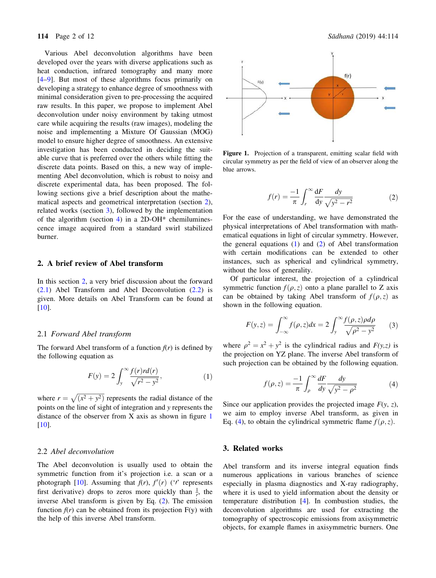<span id="page-1-0"></span>Various Abel deconvolution algorithms have been developed over the years with diverse applications such as heat conduction, infrared tomography and many more [\[4–9](#page-11-0)]. But most of these algorithms focus primarily on developing a strategy to enhance degree of smoothness with minimal consideration given to pre-processing the acquired raw results. In this paper, we propose to implement Abel deconvolution under noisy environment by taking utmost care while acquiring the results (raw images), modeling the noise and implementing a Mixture Of Gaussian (MOG) model to ensure higher degree of smoothness. An extensive investigation has been conducted in deciding the suitable curve that is preferred over the others while fitting the discrete data points. Based on this, a new way of implementing Abel deconvolution, which is robust to noisy and discrete experimental data, has been proposed. The following sections give a brief description about the mathematical aspects and geometrical interpretation (section 2), related works (section 3), followed by the implementation of the algorithm (section [4\)](#page-2-0) in a 2D-OH $*$  chemiluminescence image acquired from a standard swirl stabilized burner.

# 2. A brief review of Abel transform

In this section 2, a very brief discussion about the forward (2.1) Abel Transform and Abel Deconvolution (2.2) is given. More details on Abel Transform can be found at [\[10](#page-11-0)].

## 2.1 *Forward Abel transform*

The forward Abel transform of a function  $f(r)$  is defined by the following equation as

$$
F(y) = 2 \int_{y}^{\infty} \frac{f(r)rd(r)}{\sqrt{r^2 - y^2}},
$$
 (1)

where  $r = \sqrt{x^2 + y^2}$  represents the radial distance of the points on the line of sight of integration and *y* represents the distance of the observer from X axis as shown in figure 1  $[10]$  $[10]$ .

## 2.2 *Abel deconvolution*

The Abel deconvolution is usually used to obtain the symmetric function from it's projection i.e. a scan or a photograph [\[10](#page-11-0)]. Assuming that  $f(r)$ ,  $f'(r)$  ( $\prime$ <sup>*r*</sup> represents first derivative) drops to zeros more quickly than  $\frac{1}{r}$ , the inverse Abel transform is given by Eq. (2). The emission function  $f(r)$  can be obtained from its projection  $F(y)$  with the help of this inverse Abel transform.



Figure 1. Projection of a transparent, emitting scalar field with circular symmetry as per the field of view of an observer along the blue arrows.

$$
f(r) = \frac{-1}{\pi} \int_{r}^{\infty} \frac{\mathrm{d}F}{\mathrm{d}y} \frac{\mathrm{d}y}{\sqrt{y^2 - r^2}} \tag{2}
$$

For the ease of understanding, we have demonstrated the physical interpretations of Abel transformation with mathematical equations in light of circular symmetry. However, the general equations (1) and (2) of Abel transformation with certain modifications can be extended to other instances, such as spherical and cylindrical symmetry, without the loss of generality.

Of particular interest, the projection of a cylindrical symmetric function  $f(\rho, z)$  onto a plane parallel to Z axis can be obtained by taking Abel transform of  $f(\rho, z)$  as shown in the following equation.

$$
F(y,z) = \int_{-\infty}^{\infty} f(\rho, z) dx = 2 \int_{y}^{\infty} \frac{f(\rho, z) \rho d\rho}{\sqrt{\rho^2 - y^2}} \qquad (3)
$$

where  $\rho^2 = x^2 + y^2$  is the cylindrical radius and *F(y,z)* is the projection on YZ plane. The inverse Abel transform of such projection can be obtained by the following equation.

$$
f(\rho, z) = \frac{-1}{\pi} \int_{\rho}^{\infty} \frac{dF}{dy} \frac{dy}{\sqrt{y^2 - \rho^2}}
$$
(4)

Since our application provides the projected image  $F(y, z)$ , we aim to employ inverse Abel transform, as given in Eq. (4), to obtain the cylindrical symmetric flame  $f(\rho, z)$ .

#### 3. Related works

Abel transform and its inverse integral equation finds numerous applications in various branches of science especially in plasma diagnostics and X-ray radiography, where it is used to yield information about the density or temperature distribution [\[4](#page-11-0)]. In combustion studies, the deconvolution algorithms are used for extracting the tomography of spectroscopic emissions from axisymmetric objects, for example flames in axisymmetric burners. One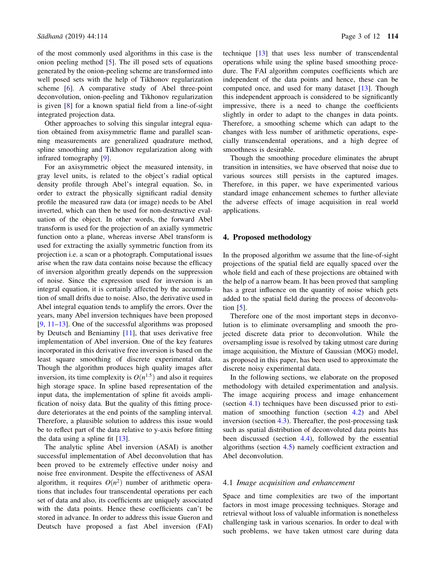<span id="page-2-0"></span>of the most commonly used algorithms in this case is the onion peeling method [\[5](#page-11-0)]. The ill posed sets of equations generated by the onion-peeling scheme are transformed into well posed sets with the help of Tikhonov regularization scheme [[6\]](#page-11-0). A comparative study of Abel three-point deconvolution, onion-peeling and Tikhonov regularization is given [[8\]](#page-11-0) for a known spatial field from a line-of-sight integrated projection data.

Other approaches to solving this singular integral equation obtained from axisymmetric flame and parallel scanning measurements are generalized quadrature method, spline smoothing and Tikhonov regularization along with infrared tomography [\[9](#page-11-0)].

For an axisymmetric object the measured intensity, in gray level units, is related to the object's radial optical density profile through Abel's integral equation. So, in order to extract the physically significant radial density profile the measured raw data (or image) needs to be Abel inverted, which can then be used for non-destructive evaluation of the object. In other words, the forward Abel transform is used for the projection of an axially symmetric function onto a plane, whereas inverse Abel transform is used for extracting the axially symmetric function from its projection i.e. a scan or a photograph. Computational issues arise when the raw data contains noise because the efficacy of inversion algorithm greatly depends on the suppression of noise. Since the expression used for inversion is an integral equation, it is certainly affected by the accumulation of small drifts due to noise. Also, the derivative used in Abel integral equation tends to amplify the errors. Over the years, many Abel inversion techniques have been proposed  $[9, 11-13]$  $[9, 11-13]$ . One of the successful algorithms was proposed by Deutsch and Beniaminy [\[11](#page-11-0)], that uses derivative free implementation of Abel inversion. One of the key features incorporated in this derivative free inversion is based on the least square smoothing of discrete experimental data. Though the algorithm produces high quality images after inversion, its time complexity is  $O(n^{1.5})$  and also it requires high storage space. In spline based representation of the input data, the implementation of spline fit avoids amplification of noisy data. But the quality of this fitting procedure deteriorates at the end points of the sampling interval. Therefore, a plausible solution to address this issue would be to reflect part of the data relative to y-axis before fitting the data using a spline fit [[13\]](#page-11-0).

The analytic spline Abel inversion (ASAI) is another successful implementation of Abel deconvolution that has been proved to be extremely effective under noisy and noise free environment. Despite the effectiveness of ASAI algorithm, it requires  $O(n^2)$  number of arithmetic operations that includes four transcendental operations per each set of data and also, its coefficients are uniquely associated with the data points. Hence these coefficients can't be stored in advance. In order to address this issue Gueron and Deutsch have proposed a fast Abel inversion (FAI)

technique [[13\]](#page-11-0) that uses less number of transcendental operations while using the spline based smoothing procedure. The FAI algorithm computes coefficients which are independent of the data points and hence, these can be computed once, and used for many dataset [\[13](#page-11-0)]. Though this independent approach is considered to be significantly impressive, there is a need to change the coefficients slightly in order to adapt to the changes in data points. Therefore, a smoothing scheme which can adapt to the changes with less number of arithmetic operations, especially transcendental operations, and a high degree of smoothness is desirable.

Though the smoothing procedure eliminates the abrupt transition in intensities, we have observed that noise due to various sources still persists in the captured images. Therefore, in this paper, we have experimented various standard image enhancement schemes to further alleviate the adverse effects of image acquisition in real world applications.

#### 4. Proposed methodology

In the proposed algorithm we assume that the line-of-sight projections of the spatial field are equally spaced over the whole field and each of these projections are obtained with the help of a narrow beam. It has been proved that sampling has a great influence on the quantity of noise which gets added to the spatial field during the process of deconvolution  $[5]$  $[5]$ .

Therefore one of the most important steps in deconvolution is to eliminate oversampling and smooth the projected discrete data prior to deconvolution. While the oversampling issue is resolved by taking utmost care during image acquisition, the Mixture of Gaussian (MOG) model, as proposed in this paper, has been used to approximate the discrete noisy experimental data.

In the following sections, we elaborate on the proposed methodology with detailed experimentation and analysis. The image acquiring process and image enhancement (section 4.1) techniques have been discussed prior to estimation of smoothing function (section [4.2\)](#page-4-0) and Abel inversion (section [4.3\)](#page-5-0). Thereafter, the post-processing task such as spatial distribution of deconvoluted data points has been discussed (section [4.4](#page-6-0)), followed by the essential algorithms (section [4.5](#page-7-0)) namely coefficient extraction and Abel deconvolution.

#### 4.1 *Image acquisition and enhancement*

Space and time complexities are two of the important factors in most image processing techniques. Storage and retrieval without loss of valuable information is nonetheless challenging task in various scenarios. In order to deal with such problems, we have taken utmost care during data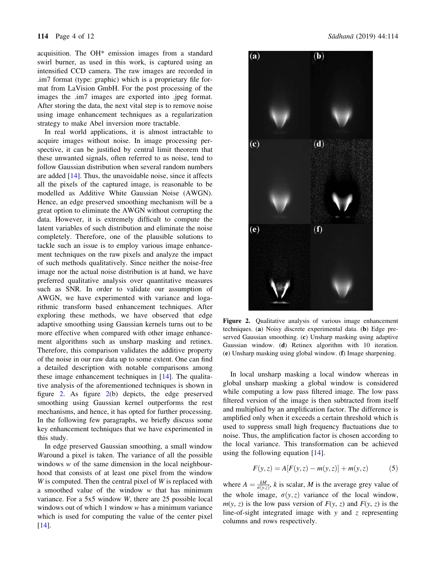acquisition. The OH\* emission images from a standard swirl burner, as used in this work, is captured using an intensified CCD camera. The raw images are recorded in .im7 format (type: graphic) which is a proprietary file format from LaVision GmbH. For the post processing of the images the .im7 images are exported into .jpeg format. After storing the data, the next vital step is to remove noise using image enhancement techniques as a regularization strategy to make Abel inversion more tractable.

In real world applications, it is almost intractable to acquire images without noise. In image processing perspective, it can be justified by central limit theorem that these unwanted signals, often referred to as noise, tend to follow Gaussian distribution when several random numbers are added [[14\]](#page-11-0). Thus, the unavoidable noise, since it affects all the pixels of the captured image, is reasonable to be modelled as Additive White Gaussian Noise (AWGN). Hence, an edge preserved smoothing mechanism will be a great option to eliminate the AWGN without corrupting the data. However, it is extremely difficult to compute the latent variables of such distribution and eliminate the noise completely. Therefore, one of the plausible solutions to tackle such an issue is to employ various image enhancement techniques on the raw pixels and analyze the impact of such methods qualitatively. Since neither the noise-free image nor the actual noise distribution is at hand, we have preferred qualitative analysis over quantitative measures such as SNR. In order to validate our assumption of AWGN, we have experimented with variance and logarithmic transform based enhancement techniques. After exploring these methods, we have observed that edge adaptive smoothing using Gaussian kernels turns out to be more effective when compared with other image enhancement algorithms such as unsharp masking and retinex. Therefore, this comparison validates the additive property of the noise in our raw data up to some extent. One can find a detailed description with notable comparisons among these image enhancement techniques in  $[14]$  $[14]$ . The qualitative analysis of the aforementioned techniques is shown in figure 2. As figure 2(b) depicts, the edge preserved smoothing using Gaussian kernel outperforms the rest mechanisms, and hence, it has opted for further processing. In the following few paragraphs, we briefly discuss some key enhancement techniques that we have experimented in this study.

In edge preserved Gaussian smoothing, a small window *W*around a pixel is taken. The variance of all the possible windows *w* of the same dimension in the local neighbourhood that consists of at least one pixel from the window *W* is computed. Then the central pixel of *W* is replaced with a smoothed value of the window *w* that has minimum variance. For a 5x5 window *W*, there are 25 possible local windows out of which 1 window *w* has a minimum variance which is used for computing the value of the center pixel [\[14](#page-11-0)].



Figure 2. Qualitative analysis of various image enhancement techniques. (a) Noisy discrete experimental data. (b) Edge preserved Gaussian smoothing. (c) Unsharp masking using adaptive Gaussian window. (d) Retinex algorithm with 10 iteration. (e) Unsharp masking using global window. (f) Image sharpening.

In local unsharp masking a local window whereas in global unsharp masking a global window is considered while computing a low pass filtered image. The low pass filtered version of the image is then subtracted from itself and multiplied by an amplification factor. The difference is amplified only when it exceeds a certain threshold which is used to suppress small high frequency fluctuations due to noise. Thus, the amplification factor is chosen according to the local variance. This transformation can be achieved using the following equation [[14\]](#page-11-0).

$$
F(y, z) = A[F(y, z) - m(y, z)] + m(y, z)
$$
 (5)

where  $A = \frac{kM}{\sigma(y,z)}$ , *k* is scalar, *M* is the average grey value of the whole image,  $\sigma(y, z)$  variance of the local window,  $m(y, z)$  is the low pass version of  $F(y, z)$  and  $F(y, z)$  is the line-of-sight integrated image with *y* and *z* representing columns and rows respectively.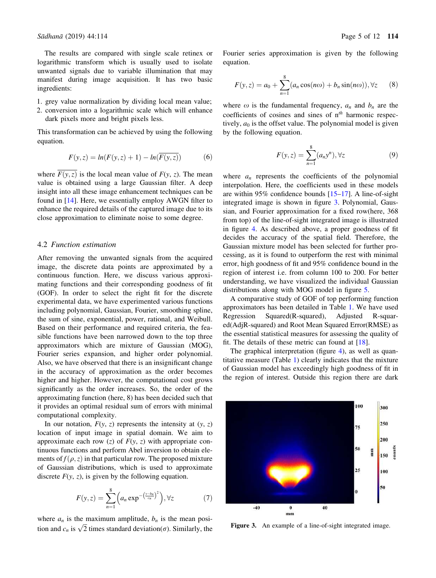<span id="page-4-0"></span>The results are compared with single scale retinex or logarithmic transform which is usually used to isolate unwanted signals due to variable illumination that may manifest during image acquisition. It has two basic ingredients:

- 1. grey value normalization by dividing local mean value;
- 2. conversion into a logarithmic scale which will enhance dark pixels more and bright pixels less.

This transformation can be achieved by using the following equation.

$$
F(y, z) = ln(F(y, z) + 1) - ln(\overline{F(y, z)})
$$
 (6)

where  $\overline{F(y, z)}$  is the local mean value of  $F(y, z)$ . The mean value is obtained using a large Gaussian filter. A deep insight into all these image enhancement techniques can be found in [\[14](#page-11-0)]. Here, we essentially employ AWGN filter to enhance the required details of the captured image due to its close approximation to eliminate noise to some degree.

#### 4.2 *Function estimation*

After removing the unwanted signals from the acquired image, the discrete data points are approximated by a continuous function. Here, we discuss various approximating functions and their corresponding goodness of fit (GOF). In order to select the right fit for the discrete experimental data, we have experimented various functions including polynomial, Gaussian, Fourier, smoothing spline, the sum of sine, exponential, power, rational, and Weibull. Based on their performance and required criteria, the feasible functions have been narrowed down to the top three approximators which are mixture of Gaussian (MOG), Fourier series expansion, and higher order polynomial. Also, we have observed that there is an insignificant change in the accuracy of approximation as the order becomes higher and higher. However, the computational cost grows significantly as the order increases. So, the order of the approximating function (here, 8) has been decided such that it provides an optimal residual sum of errors with minimal computational complexity.

In our notation,  $F(y, z)$  represents the intensity at  $(y, z)$ location of input image in spatial domain. We aim to approximate each row  $(z)$  of  $F(y, z)$  with appropriate continuous functions and perform Abel inversion to obtain elements of  $f(\rho, z)$  in that particular row. The proposed mixture of Gaussian distributions, which is used to approximate discrete  $F(y, z)$ , is given by the following equation.

$$
F(y,z) = \sum_{n=1}^{8} \left( a_n \exp^{-\left(\frac{y-b_n}{c_n}\right)^2} \right), \forall z \tag{7}
$$

where  $a_n$  is the maximum amplitude,  $b_n$  is the mean position and  $c_n$  is  $\sqrt{2}$  times standard deviation( $\sigma$ ). Similarly, the Fourier series approximation is given by the following equation.

$$
F(y, z) = a_0 + \sum_{n=1}^{8} (a_n \cos(n\omega) + b_n \sin(n\omega)), \forall z \qquad (8)
$$

where  $\omega$  is the fundamental frequency,  $a_n$  and  $b_n$  are the coefficients of cosines and sines of n*th* harmonic respectively,  $a_0$  is the offset value. The polynomial model is given by the following equation.

$$
F(y, z) = \sum_{n=1}^{8} (a_n y^n), \forall z
$$
 (9)

where  $a_n$  represents the coefficients of the polynomial interpolation. Here, the coefficients used in these models are within 95% confidence bounds [[15–17\]](#page-11-0). A line-of-sight integrated image is shown in figure 3. Polynomial, Gaussian, and Fourier approximation for a fixed row(here, 368 from top) of the line-of-sight integrated image is illustrated in figure [4.](#page-5-0) As described above, a proper goodness of fit decides the accuracy of the spatial field. Therefore, the Gaussian mixture model has been selected for further processing, as it is found to outperform the rest with minimal error, high goodness of fit and 95% confidence bound in the region of interest i.e. from column 100 to 200. For better understanding, we have visualized the individual Gaussian distributions along with MOG model in figure [5](#page-5-0).

A comparative study of GOF of top performing function approximators has been detailed in Table [1](#page-5-0). We have used Regression Squared(R-squared), Adjusted R-squared(AdjR-squared) and Root Mean Squared Error(RMSE) as the essential statistical measures for assessing the quality of fit. The details of these metric can found at  $[18]$  $[18]$ .

The graphical interpretation (figure [4\)](#page-5-0), as well as quantitative measure (Table [1\)](#page-5-0) clearly indicates that the mixture of Gaussian model has exceedingly high goodness of fit in the region of interest. Outside this region there are dark



Figure 3. An example of a line-of-sight integrated image.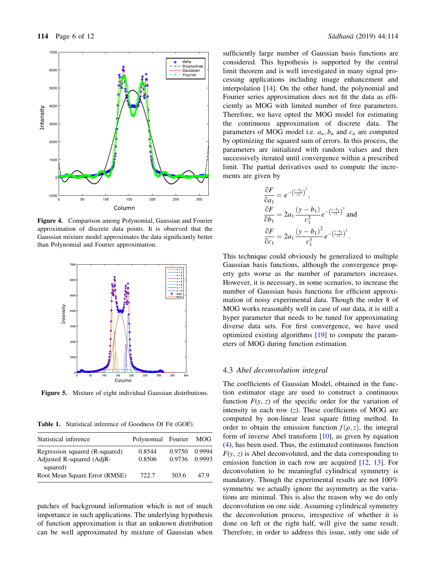<span id="page-5-0"></span>

Figure 4. Comparison among Polynomial, Gaussian and Fourier approximation of discrete data points. It is observed that the Gaussian mixture model approximates the data significantly better than Polynomial and Fourier approximation.



Figure 5. Mixture of eight individual Gaussian distributions.

Table 1. Statistical inference of Goodness Of Fit (GOF).

| Statistical inference                 | Polynomial Fourier MOG |        |        |
|---------------------------------------|------------------------|--------|--------|
| Regression squared (R-squared)        | 0.8544                 | 0.9750 | 0.9994 |
| Adjusted R-squared (AdjR-<br>squared) | 0.8506                 | 0.9736 | 0.9993 |
| Root Mean Square Error (RMSE)         | 722.7                  | 303.6  | 47 Q   |

patches of background information which is not of much importance in such applications. The underlying hypothesis of function approximation is that an unknown distribution can be well approximated by mixture of Gaussian when sufficiently large number of Gaussian basis functions are considered. This hypothesis is supported by the central limit theorem and is well investigated in many signal processing applications including image enhancement and interpolation [\[14](#page-11-0)]. On the other hand, the polynomial and Fourier series approximation does not fit the data as efficiently as MOG with limited number of free parameters. Therefore, we have opted the MOG model for estimating the continuous approximation of discrete data. The parameters of MOG model i.e.  $a_n$ ,  $b_n$  and  $c_n$  are computed by optimizing the squared sum of errors. In this process, the parameters are initialized with random values and then successively iterated until convergence within a prescribed limit. The partial derivatives used to compute the increments are given by

$$
\frac{\partial F}{\partial a_1} = e^{-\left(\frac{y-b_1}{c_1}\right)^2},
$$
  
\n
$$
\frac{\partial F}{\partial b_1} = 2a_1 \frac{(y-b_1)}{c_1^2} e^{-\left(\frac{y-b_1}{c_1}\right)^2}
$$
 and  
\n
$$
\frac{\partial F}{\partial c_1} = 2a_1 \frac{(y-b_1)^2}{c_1^3} e^{-\left(\frac{y-b_1}{c_1}\right)^2}.
$$

This technique could obviously be generalized to multiple Gaussian basis functions, although the convergence property gets worse as the number of parameters increases. However, it is necessary, in some scenarios, to increase the number of Gaussian basis functions for efficient approximation of noisy experimental data. Though the order 8 of MOG works reasonably well in case of our data, it is still a hyper parameter that needs to be tuned for approximating diverse data sets. For first convergence, we have used optimized existing algorithms [[19\]](#page-11-0) to compute the parameters of MOG during function estimation.

## 4.3 *Abel deconvolution integral*

The coefficients of Gaussian Model, obtained in the function estimator stage are used to construct a continuous function  $F(y, z)$  of the specific order for the variation of intensity in each row (*z*). These coefficients of MOG are computed by non-linear least square fitting method. In order to obtain the emission function  $f(\rho, z)$ , the integral form of inverse Abel transform [[10\]](#page-11-0), as given by equation [\(4](#page-1-0)), has been used. Thus, the estimated continuous function  $F(y, z)$  is Abel deconvoluted, and the data corresponding to emission function in each row are acquired [[12](#page-11-0), [13](#page-11-0)]. For deconvolution to be meaningful cylindrical symmetry is mandatory. Though the experimental results are not 100% symmetric we actually ignore the asymmetry as the variations are minimal. This is also the reason why we do only deconvolution on one side. Assuming cylindrical symmetry the deconvolution process, irrespective of whether it is done on left or the right half, will give the same result. Therefore, in order to address this issue, only one side of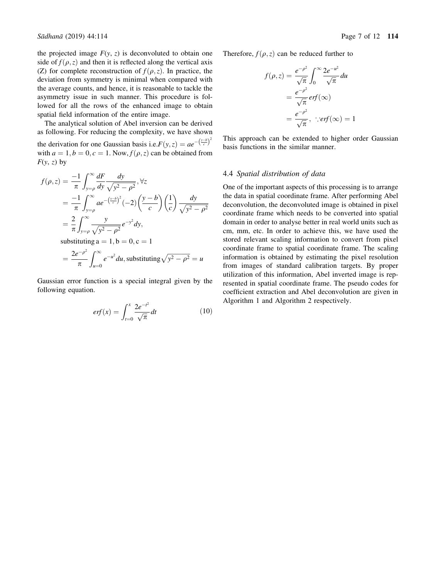<span id="page-6-0"></span>the projected image  $F(y, z)$  is deconvoluted to obtain one side of  $f(\rho, z)$  and then it is reflected along the vertical axis (Z) for complete reconstruction of  $f(\rho, z)$ . In practice, the deviation from symmetry is minimal when compared with the average counts, and hence, it is reasonable to tackle the asymmetry issue in such manner. This procedure is followed for all the rows of the enhanced image to obtain spatial field information of the entire image.

The analytical solution of Abel inversion can be derived as following. For reducing the complexity, we have shown the derivation for one Gaussian basis i.e.  $F(y, z) = ae^{-\left(\frac{y-b}{c}\right)^2}$ with  $a = 1, b = 0, c = 1$ . Now,  $f(\rho, z)$  can be obtained from  $F(y, z)$  by

$$
f(\rho, z) = \frac{-1}{\pi} \int_{y=\rho}^{\infty} \frac{dF}{dy} \frac{dy}{\sqrt{y^2 - \rho^2}}, \forall z
$$
  
\n
$$
= \frac{-1}{\pi} \int_{y=\rho}^{\infty} a e^{-\left(\frac{y-\beta}{c}\right)^2} (-2) \left(\frac{y-b}{c}\right) \left(\frac{1}{c}\right) \frac{dy}{\sqrt{y^2 - \rho^2}}
$$
  
\n
$$
= \frac{2}{\pi} \int_{y=\rho}^{\infty} \frac{y}{\sqrt{y^2 - \rho^2}} e^{-y^2} dy,
$$
  
\nsubstituting a = 1, b = 0, c = 1  
\n
$$
= \frac{2e^{-\rho^2}}{\pi} \int_{u=0}^{\infty} e^{-u^2} du, \text{ substituting } \sqrt{y^2 - \rho^2} = u
$$

Gaussian error function is a special integral given by the following equation.

$$
erf(x) = \int_{t=0}^{x} \frac{2e^{-t^2}}{\sqrt{\pi}} dt
$$
 (10)

Therefore,  $f(\rho, z)$  can be reduced further to

$$
f(\rho, z) = \frac{e^{-\rho^2}}{\sqrt{\pi}} \int_0^\infty \frac{2e^{-u^2}}{\sqrt{\pi}} du
$$
  
=  $\frac{e^{-\rho^2}}{\sqrt{\pi}} erf(\infty)$   
=  $\frac{e^{-\rho^2}}{\sqrt{\pi}}, \therefore erf(\infty) = 1$ 

This approach can be extended to higher order Gaussian basis functions in the similar manner.

## 4.4 *Spatial distribution of data*

One of the important aspects of this processing is to arrange the data in spatial coordinate frame. After performing Abel deconvolution, the deconvoluted image is obtained in pixel coordinate frame which needs to be converted into spatial domain in order to analyse better in real world units such as cm, mm, etc. In order to achieve this, we have used the stored relevant scaling information to convert from pixel coordinate frame to spatial coordinate frame. The scaling information is obtained by estimating the pixel resolution from images of standard calibration targets. By proper utilization of this information, Abel inverted image is represented in spatial coordinate frame. The pseudo codes for coefficient extraction and Abel deconvolution are given in Algorithm 1 and Algorithm 2 respectively.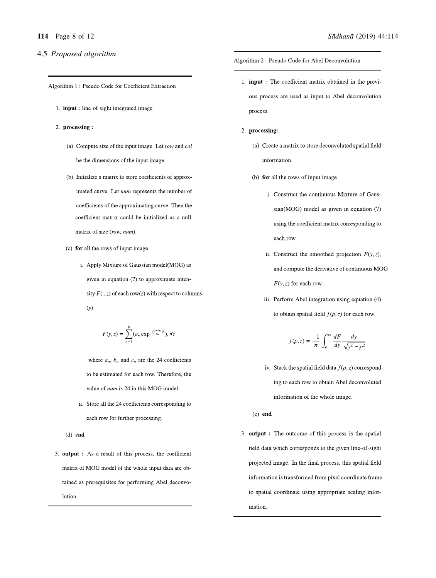# <span id="page-7-0"></span>4.5 *Proposed algorithm*

Algorithm 1: Pseudo Code for Coefficient Extraction

- 1. **input**: line-of-sight integrated image
- 2. processing:
	- (a) Compute size of the input image. Let row and  $col$ be the dimensions of the input image.
	- (b) Initialize a matrix to store coefficients of approximated curve. Let num represents the number of coefficients of the approximating curve. Then the coefficient matrix could be initialized as a null matrix of size (row, num).
	- (c) for all the rows of input image
		- i. Apply Mixture of Gaussian model(MOG) as given in equation (7) to approximate intensity  $F(:, z)$  of each row(z) with respect to columns  $(y)$ .

$$
F(y,z)=\sum_{n=1}^8(a_n\exp^{-(\frac{y-b_n}{c_n})^2}),\forall z
$$

where  $a_n$ ,  $b_n$  and  $c_n$  are the 24 coefficients to be estimated for each row. Therefore, the value of *num* is 24 in this MOG model.

ii. Store all the 24 coefficients corresponding to each row for further processing.

 $(d)$  end

3. output : As a result of this process, the coefficient matrix of MOG model of the whole input data are obtained as prerequisites for performing Abel deconvolution.

Algorithm 2: Pseudo Code for Abel Deconvolution

- 1. **input**: The coefficient matrix obtained in the previous process are used as input to Abel deconvolution process.
- 2. processing:
	- (a) Create a matrix to store deconvoluted spatial field information.
	- (b) for all the rows of input image
		- i. Construct the continuous Mixture of Gaussian(MOG) model as given in equation (7) using the coefficient matrix corresponding to each row.
		- ii. Construct the smoothed projection  $F(y, z)$ , and compute the derivative of continuous MOG  $F(y, z)$  for each row.
		- iii. Perform Abel integration using equation (4) to obtain spatial field  $f(\rho, z)$  for each row.

$$
f(\rho, z) = \frac{-1}{\pi} \int_{\rho}^{\infty} \frac{dF}{dy} \frac{dy}{\sqrt{y^2 - \rho^2}}
$$

iv. Stack the spatial field data  $f(\rho, z)$  corresponding to each row to obtain Abel deconvoluted information of the whole image.

 $(c)$  end

3. output : The outcome of this process is the spatial field data which corresponds to the given line-of-sight projected image. In the final process, this spatial field information is transformed from pixel coordinate frame to spatial coordinate using appropriate scaling information.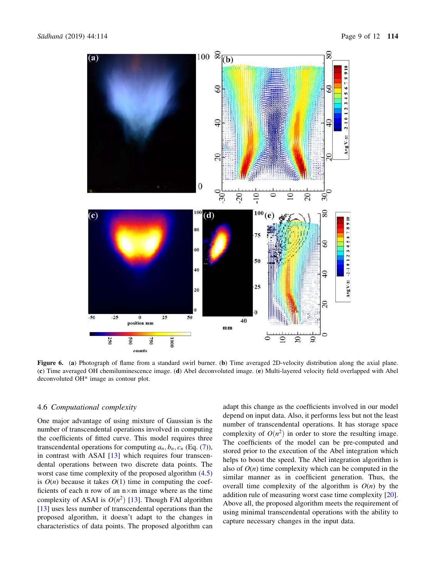<span id="page-8-0"></span>

Figure 6. (a) Photograph of flame from a standard swirl burner. (b) Time averaged 2D-velocity distribution along the axial plane. (c) Time averaged OH chemiluminescence image. (d) Abel deconvoluted image. (e) Multi-layered velocity field overlapped with Abel deconvoluted OH\* image as contour plot.

# 4.6 *Computational complexity*

One major advantage of using mixture of Gaussian is the number of transcendental operations involved in computing the coefficients of fitted curve. This model requires three transcendental operations for computing  $a_n, b_n, c_n$  (Eq. [\(7](#page-4-0))), in contrast with ASAI [\[13](#page-11-0)] which requires four transcendental operations between two discrete data points. The worst case time complexity of the proposed algorithm ([4.5](#page-5-0)) is  $O(n)$  because it takes  $O(1)$  time in computing the coefficients of each n row of an  $n \times m$  image where as the time complexity of ASAI is  $O(n^2)$  [\[13](#page-11-0)]. Though FAI algorithm [\[13](#page-11-0)] uses less number of transcendental operations than the proposed algorithm, it doesn't adapt to the changes in characteristics of data points. The proposed algorithm can adapt this change as the coefficients involved in our model depend on input data. Also, it performs less but not the least number of transcendental operations. It has storage space complexity of  $O(n^2)$  in order to store the resulting image. The coefficients of the model can be pre-computed and stored prior to the execution of the Abel integration which helps to boost the speed. The Abel integration algorithm is also of  $O(n)$  time complexity which can be computed in the similar manner as in coefficient generation. Thus, the overall time complexity of the algorithm is  $O(n)$  by the addition rule of measuring worst case time complexity [\[20](#page-11-0)]. Above all, the proposed algorithm meets the requirement of using minimal transcendental operations with the ability to capture necessary changes in the input data.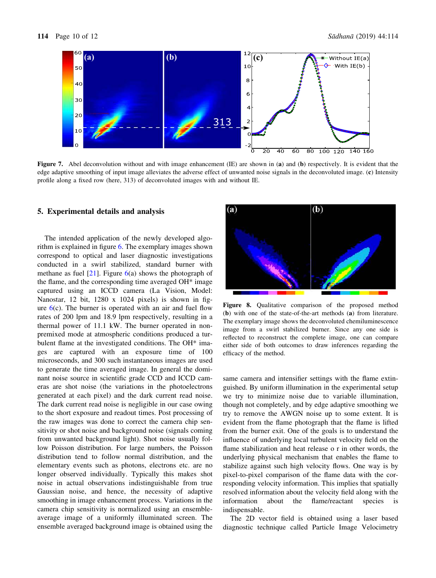<span id="page-9-0"></span>

Figure 7. Abel deconvolution without and with image enhancement (IE) are shown in (a) and (b) respectively. It is evident that the edge adaptive smoothing of input image alleviates the adverse effect of unwanted noise signals in the deconvoluted image. (c) Intensity profile along a fixed row (here, 313) of deconvoluted images with and without IE.

#### 5. Experimental details and analysis

The intended application of the newly developed algorithm is explained in figure [6](#page-8-0). The exemplary images shown correspond to optical and laser diagnostic investigations conducted in a swirl stabilized, standard burner with methane as fuel  $[21]$  $[21]$ . Figure [6](#page-8-0)(a) shows the photograph of the flame, and the corresponding time averaged OH\* image captured using an ICCD camera (La Vision, Model: Nanostar, 12 bit, 1280 x 1024 pixels) is shown in figure  $6(c)$  $6(c)$ . The burner is operated with an air and fuel flow rates of 200 lpm and 18.9 lpm respectively, resulting in a thermal power of 11.1 kW. The burner operated in nonpremixed mode at atmospheric conditions produced a turbulent flame at the investigated conditions. The OH\* images are captured with an exposure time of 100 microseconds, and 300 such instantaneous images are used to generate the time averaged image. In general the dominant noise source in scientific grade CCD and ICCD cameras are shot noise (the variations in the photoelectrons generated at each pixel) and the dark current read noise. The dark current read noise is negligible in our case owing to the short exposure and readout times. Post processing of the raw images was done to correct the camera chip sensitivity or shot noise and background noise (signals coming from unwanted background light). Shot noise usually follow Poisson distribution. For large numbers, the Poisson distribution tend to follow normal distribution, and the elementary events such as photons, electrons etc. are no longer observed individually. Typically this makes shot noise in actual observations indistinguishable from true Gaussian noise, and hence, the necessity of adaptive smoothing in image enhancement process. Variations in the camera chip sensitivity is normalized using an ensembleaverage image of a uniformly illuminated screen. The ensemble averaged background image is obtained using the



Figure 8. Qualitative comparison of the proposed method (b) with one of the state-of-the-art methods (a) from literature. The exemplary image shows the deconvoluted chemiluminescence image from a swirl stabilized burner. Since any one side is reflected to reconstruct the complete image, one can compare either side of both outcomes to draw inferences regarding the efficacy of the method.

same camera and intensifier settings with the flame extinguished. By uniform illumination in the experimental setup we try to minimize noise due to variable illumination, though not completely, and by edge adaptive smoothing we try to remove the AWGN noise up to some extent. It is evident from the flame photograph that the flame is lifted from the burner exit. One of the goals is to understand the influence of underlying local turbulent velocity field on the flame stabilization and heat release o r in other words, the underlying physical mechanism that enables the flame to stabilize against such high velocity flows. One way is by pixel-to-pixel comparison of the flame data with the corresponding velocity information. This implies that spatially resolved information about the velocity field along with the information about the flame/reactant species indispensable.

The 2D vector field is obtained using a laser based diagnostic technique called Particle Image Velocimetry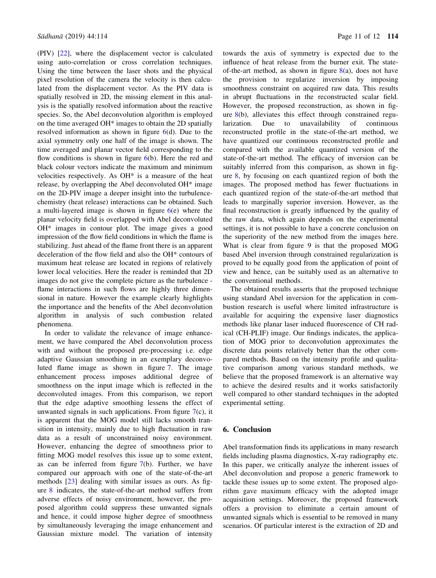(PIV) [\[22](#page-11-0)], where the displacement vector is calculated using auto-correlation or cross correlation techniques. Using the time between the laser shots and the physical pixel resolution of the camera the velocity is then calculated from the displacement vector. As the PIV data is spatially resolved in 2D, the missing element in this analysis is the spatially resolved information about the reactive species. So, the Abel deconvolution algorithm is employed on the time averaged OH\* images to obtain the 2D spatially resolved information as shown in figure  $6(d)$  $6(d)$ . Due to the axial symmetry only one half of the image is shown. The time averaged and planar vector field corresponding to the flow conditions is shown in figure  $6(b)$  $6(b)$ . Here the red and black colour vectors indicate the maximum and minimum velocities respectively. As OH\* is a measure of the heat release, by overlapping the Abel deconvoluted OH\* image on the 2D-PIV image a deeper insight into the turbulencechemistry (heat release) interactions can be obtained. Such a multi-layered image is shown in figure  $6(e)$  $6(e)$  where the planar velocity field is overlapped with Abel deconvoluted OH\* images in contour plot. The image gives a good impression of the flow field conditions in which the flame is stabilizing. Just ahead of the flame front there is an apparent deceleration of the flow field and also the OH\* contours of maximum heat release are located in regions of relatively lower local velocities. Here the reader is reminded that 2D images do not give the complete picture as the turbulence flame interactions in such flows are highly three dimensional in nature. However the example clearly highlights the importance and the benefits of the Abel deconvolution algorithm in analysis of such combustion related phenomena.

In order to validate the relevance of image enhancement, we have compared the Abel deconvolution process with and without the proposed pre-processing i.e. edge adaptive Gaussian smoothing in an exemplary deconvoluted flame image as shown in figure [7.](#page-9-0) The image enhancement process imposes additional degree of smoothness on the input image which is reflected in the deconvoluted images. From this comparison, we report that the edge adaptive smoothing lessens the effect of unwanted signals in such applications. From figure  $7(c)$  $7(c)$ , it is apparent that the MOG model still lacks smooth transition in intensity, mainly due to high fluctuation in raw data as a result of unconstrained noisy environment. However, enhancing the degree of smoothness prior to fitting MOG model resolves this issue up to some extent, as can be inferred from figure  $7(b)$  $7(b)$ . Further, we have compared our approach with one of the state-of-the-art methods [\[23](#page-11-0)] dealing with similar issues as ours. As figure [8](#page-9-0) indicates, the state-of-the-art method suffers from adverse effects of noisy environment, however, the proposed algorithm could suppress these unwanted signals and hence, it could impose higher degree of smoothness by simultaneously leveraging the image enhancement and Gaussian mixture model. The variation of intensity

towards the axis of symmetry is expected due to the influence of heat release from the burner exit. The stateof-the-art method, as shown in figure  $8(a)$  $8(a)$ , does not have the provision to regularize inversion by imposing smoothness constraint on acquired raw data. This results in abrupt fluctuations in the reconstructed scalar field. However, the proposed reconstruction, as shown in figure [8\(](#page-9-0)b), alleviates this effect through constrained regularization. Due to unavailability of continuous reconstructed profile in the state-of-the-art method, we have quantized our continuous reconstructed profile and compared with the available quantized version of the state-of-the-art method. The efficacy of inversion can be suitably inferred from this comparison, as shown in figure [8,](#page-9-0) by focusing on each quantized region of both the images. The proposed method has fewer fluctuations in each quantized region of the state-of-the-art method that leads to marginally superior inversion. However, as the final reconstruction is greatly influenced by the quality of the raw data, which again depends on the experimental settings, it is not possible to have a concrete conclusion on the superiority of the new method from the images here. What is clear from figure 9 is that the proposed MOG based Abel inversion through constrained regularization is proved to be equally good from the application of point of view and hence, can be suitably used as an alternative to the conventional methods.

The obtained results asserts that the proposed technique using standard Abel inversion for the application in combustion research is useful where limited infrastructure is available for acquiring the expensive laser diagnostics methods like planar laser induced fluorescence of CH radical (CH-PLIF) image. Our findings indicates, the application of MOG prior to deconvolution approximates the discrete data points relatively better than the other compared methods. Based on the intensity profile and qualitative comparison among various standard methods, we believe that the proposed framework is an alternative way to achieve the desired results and it works satisfactorily well compared to other standard techniques in the adopted experimental setting.

# 6. Conclusion

Abel transformation finds its applications in many research fields including plasma diagnostics, X-ray radiography etc. In this paper, we critically analyze the inherent issues of Abel deconvolution and propose a generic framework to tackle these issues up to some extent. The proposed algorithm gave maximum efficacy with the adopted image acquisition settings. Moreover, the proposed framework offers a provision to eliminate a certain amount of unwanted signals which is essential to be removed in many scenarios. Of particular interest is the extraction of 2D and